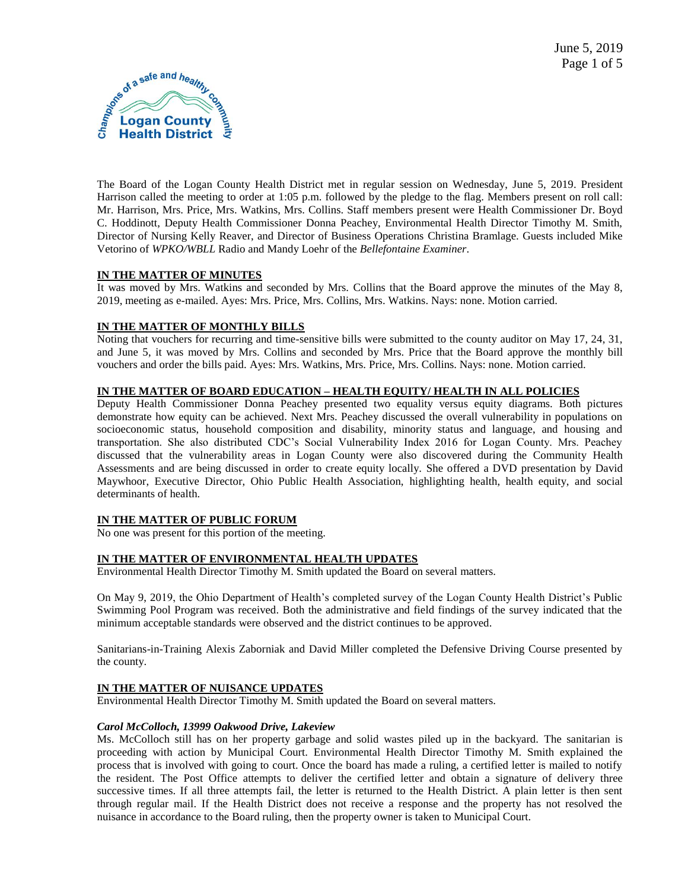

The Board of the Logan County Health District met in regular session on Wednesday, June 5, 2019. President Harrison called the meeting to order at 1:05 p.m. followed by the pledge to the flag. Members present on roll call: Mr. Harrison, Mrs. Price, Mrs. Watkins, Mrs. Collins. Staff members present were Health Commissioner Dr. Boyd C. Hoddinott, Deputy Health Commissioner Donna Peachey, Environmental Health Director Timothy M. Smith, Director of Nursing Kelly Reaver, and Director of Business Operations Christina Bramlage. Guests included Mike Vetorino of *WPKO/WBLL* Radio and Mandy Loehr of the *Bellefontaine Examiner*.

# **IN THE MATTER OF MINUTES**

It was moved by Mrs. Watkins and seconded by Mrs. Collins that the Board approve the minutes of the May 8, 2019, meeting as e-mailed. Ayes: Mrs. Price, Mrs. Collins, Mrs. Watkins. Nays: none. Motion carried.

# **IN THE MATTER OF MONTHLY BILLS**

Noting that vouchers for recurring and time-sensitive bills were submitted to the county auditor on May 17, 24, 31, and June 5, it was moved by Mrs. Collins and seconded by Mrs. Price that the Board approve the monthly bill vouchers and order the bills paid. Ayes: Mrs. Watkins, Mrs. Price, Mrs. Collins. Nays: none. Motion carried.

# **IN THE MATTER OF BOARD EDUCATION – HEALTH EQUITY/ HEALTH IN ALL POLICIES**

Deputy Health Commissioner Donna Peachey presented two equality versus equity diagrams. Both pictures demonstrate how equity can be achieved. Next Mrs. Peachey discussed the overall vulnerability in populations on socioeconomic status, household composition and disability, minority status and language, and housing and transportation. She also distributed CDC's Social Vulnerability Index 2016 for Logan County. Mrs. Peachey discussed that the vulnerability areas in Logan County were also discovered during the Community Health Assessments and are being discussed in order to create equity locally. She offered a DVD presentation by David Maywhoor, Executive Director, Ohio Public Health Association, highlighting health, health equity, and social determinants of health.

# **IN THE MATTER OF PUBLIC FORUM**

No one was present for this portion of the meeting.

# **IN THE MATTER OF ENVIRONMENTAL HEALTH UPDATES**

Environmental Health Director Timothy M. Smith updated the Board on several matters.

On May 9, 2019, the Ohio Department of Health's completed survey of the Logan County Health District's Public Swimming Pool Program was received. Both the administrative and field findings of the survey indicated that the minimum acceptable standards were observed and the district continues to be approved.

Sanitarians-in-Training Alexis Zaborniak and David Miller completed the Defensive Driving Course presented by the county.

# **IN THE MATTER OF NUISANCE UPDATES**

Environmental Health Director Timothy M. Smith updated the Board on several matters.

# *Carol McColloch, 13999 Oakwood Drive, Lakeview*

Ms. McColloch still has on her property garbage and solid wastes piled up in the backyard. The sanitarian is proceeding with action by Municipal Court. Environmental Health Director Timothy M. Smith explained the process that is involved with going to court. Once the board has made a ruling, a certified letter is mailed to notify the resident. The Post Office attempts to deliver the certified letter and obtain a signature of delivery three successive times. If all three attempts fail, the letter is returned to the Health District. A plain letter is then sent through regular mail. If the Health District does not receive a response and the property has not resolved the nuisance in accordance to the Board ruling, then the property owner is taken to Municipal Court.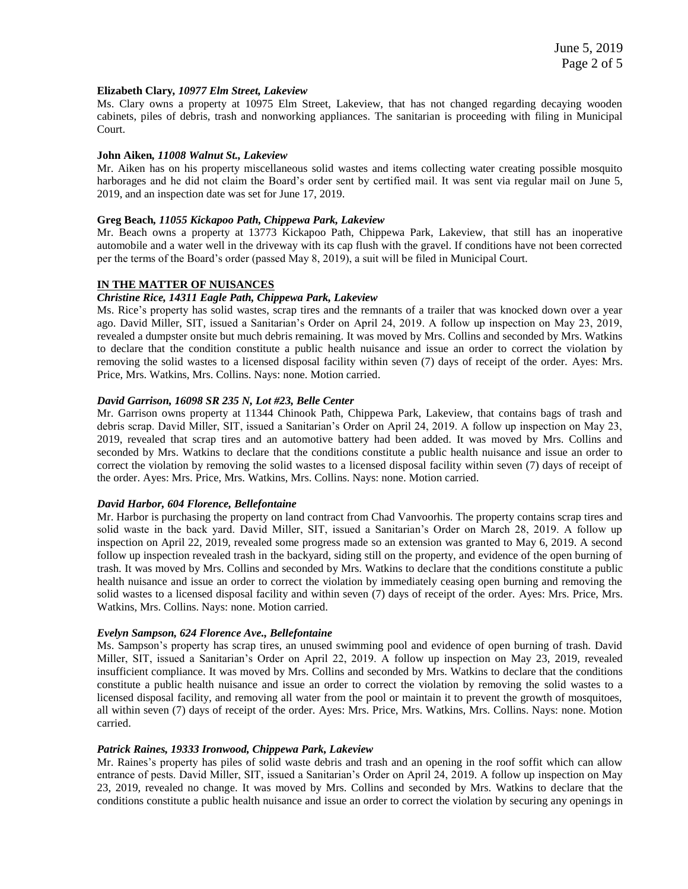#### **Elizabeth Clary***, 10977 Elm Street, Lakeview*

Ms. Clary owns a property at 10975 Elm Street, Lakeview, that has not changed regarding decaying wooden cabinets, piles of debris, trash and nonworking appliances. The sanitarian is proceeding with filing in Municipal Court.

### **John Aiken***, 11008 Walnut St., Lakeview*

Mr. Aiken has on his property miscellaneous solid wastes and items collecting water creating possible mosquito harborages and he did not claim the Board's order sent by certified mail. It was sent via regular mail on June 5, 2019, and an inspection date was set for June 17, 2019.

### **Greg Beach***, 11055 Kickapoo Path, Chippewa Park, Lakeview*

Mr. Beach owns a property at 13773 Kickapoo Path, Chippewa Park, Lakeview, that still has an inoperative automobile and a water well in the driveway with its cap flush with the gravel. If conditions have not been corrected per the terms of the Board's order (passed May 8, 2019), a suit will be filed in Municipal Court.

#### **IN THE MATTER OF NUISANCES**

### *Christine Rice, 14311 Eagle Path, Chippewa Park, Lakeview*

Ms. Rice's property has solid wastes, scrap tires and the remnants of a trailer that was knocked down over a year ago. David Miller, SIT, issued a Sanitarian's Order on April 24, 2019. A follow up inspection on May 23, 2019, revealed a dumpster onsite but much debris remaining. It was moved by Mrs. Collins and seconded by Mrs. Watkins to declare that the condition constitute a public health nuisance and issue an order to correct the violation by removing the solid wastes to a licensed disposal facility within seven (7) days of receipt of the order. Ayes: Mrs. Price, Mrs. Watkins, Mrs. Collins. Nays: none. Motion carried.

### *David Garrison, 16098 SR 235 N, Lot #23, Belle Center*

Mr. Garrison owns property at 11344 Chinook Path, Chippewa Park, Lakeview, that contains bags of trash and debris scrap. David Miller, SIT, issued a Sanitarian's Order on April 24, 2019. A follow up inspection on May 23, 2019, revealed that scrap tires and an automotive battery had been added. It was moved by Mrs. Collins and seconded by Mrs. Watkins to declare that the conditions constitute a public health nuisance and issue an order to correct the violation by removing the solid wastes to a licensed disposal facility within seven (7) days of receipt of the order. Ayes: Mrs. Price, Mrs. Watkins, Mrs. Collins. Nays: none. Motion carried.

#### *David Harbor, 604 Florence, Bellefontaine*

Mr. Harbor is purchasing the property on land contract from Chad Vanvoorhis. The property contains scrap tires and solid waste in the back yard. David Miller, SIT, issued a Sanitarian's Order on March 28, 2019. A follow up inspection on April 22, 2019, revealed some progress made so an extension was granted to May 6, 2019. A second follow up inspection revealed trash in the backyard, siding still on the property, and evidence of the open burning of trash. It was moved by Mrs. Collins and seconded by Mrs. Watkins to declare that the conditions constitute a public health nuisance and issue an order to correct the violation by immediately ceasing open burning and removing the solid wastes to a licensed disposal facility and within seven (7) days of receipt of the order. Ayes: Mrs. Price, Mrs. Watkins, Mrs. Collins. Nays: none. Motion carried.

#### *Evelyn Sampson, 624 Florence Ave., Bellefontaine*

Ms. Sampson's property has scrap tires, an unused swimming pool and evidence of open burning of trash. David Miller, SIT, issued a Sanitarian's Order on April 22, 2019. A follow up inspection on May 23, 2019, revealed insufficient compliance. It was moved by Mrs. Collins and seconded by Mrs. Watkins to declare that the conditions constitute a public health nuisance and issue an order to correct the violation by removing the solid wastes to a licensed disposal facility, and removing all water from the pool or maintain it to prevent the growth of mosquitoes, all within seven (7) days of receipt of the order. Ayes: Mrs. Price, Mrs. Watkins, Mrs. Collins. Nays: none. Motion carried.

#### *Patrick Raines, 19333 Ironwood, Chippewa Park, Lakeview*

Mr. Raines's property has piles of solid waste debris and trash and an opening in the roof soffit which can allow entrance of pests. David Miller, SIT, issued a Sanitarian's Order on April 24, 2019. A follow up inspection on May 23, 2019, revealed no change. It was moved by Mrs. Collins and seconded by Mrs. Watkins to declare that the conditions constitute a public health nuisance and issue an order to correct the violation by securing any openings in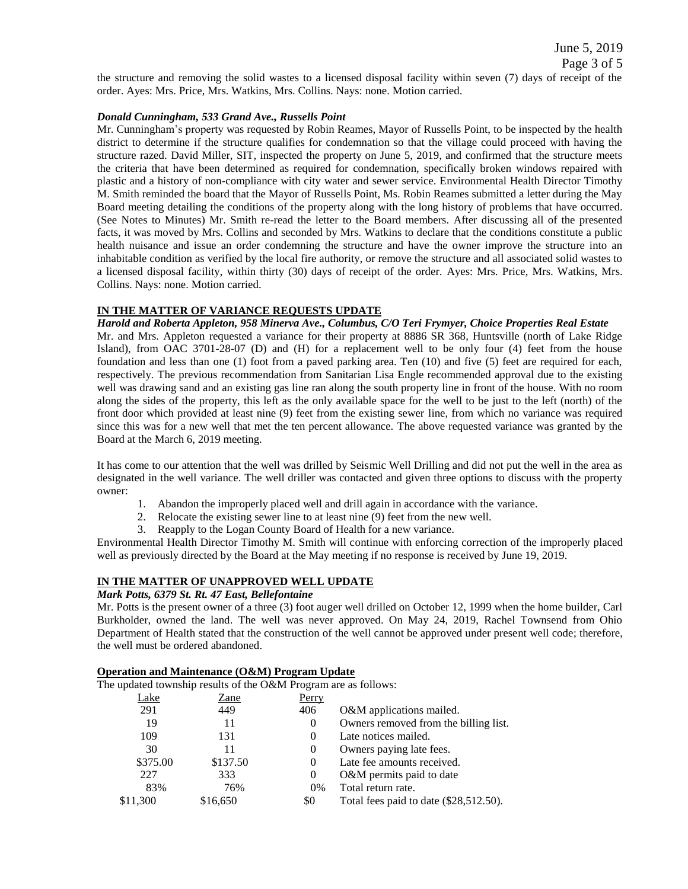June 5, 2019 Page 3 of 5

the structure and removing the solid wastes to a licensed disposal facility within seven (7) days of receipt of the order. Ayes: Mrs. Price, Mrs. Watkins, Mrs. Collins. Nays: none. Motion carried.

### *Donald Cunningham, 533 Grand Ave., Russells Point*

Mr. Cunningham's property was requested by Robin Reames, Mayor of Russells Point, to be inspected by the health district to determine if the structure qualifies for condemnation so that the village could proceed with having the structure razed. David Miller, SIT, inspected the property on June 5, 2019, and confirmed that the structure meets the criteria that have been determined as required for condemnation, specifically broken windows repaired with plastic and a history of non-compliance with city water and sewer service. Environmental Health Director Timothy M. Smith reminded the board that the Mayor of Russells Point, Ms. Robin Reames submitted a letter during the May Board meeting detailing the conditions of the property along with the long history of problems that have occurred. (See Notes to Minutes) Mr. Smith re-read the letter to the Board members. After discussing all of the presented facts, it was moved by Mrs. Collins and seconded by Mrs. Watkins to declare that the conditions constitute a public health nuisance and issue an order condemning the structure and have the owner improve the structure into an inhabitable condition as verified by the local fire authority, or remove the structure and all associated solid wastes to a licensed disposal facility, within thirty (30) days of receipt of the order. Ayes: Mrs. Price, Mrs. Watkins, Mrs. Collins. Nays: none. Motion carried.

### **IN THE MATTER OF VARIANCE REQUESTS UPDATE**

### *Harold and Roberta Appleton, 958 Minerva Ave., Columbus, C/O Teri Frymyer, Choice Properties Real Estate*

Mr. and Mrs. Appleton requested a variance for their property at 8886 SR 368, Huntsville (north of Lake Ridge Island), from OAC 3701-28-07 (D) and (H) for a replacement well to be only four (4) feet from the house foundation and less than one (1) foot from a paved parking area. Ten (10) and five (5) feet are required for each, respectively. The previous recommendation from Sanitarian Lisa Engle recommended approval due to the existing well was drawing sand and an existing gas line ran along the south property line in front of the house. With no room along the sides of the property, this left as the only available space for the well to be just to the left (north) of the front door which provided at least nine (9) feet from the existing sewer line, from which no variance was required since this was for a new well that met the ten percent allowance. The above requested variance was granted by the Board at the March 6, 2019 meeting.

It has come to our attention that the well was drilled by Seismic Well Drilling and did not put the well in the area as designated in the well variance. The well driller was contacted and given three options to discuss with the property owner:

- 1. Abandon the improperly placed well and drill again in accordance with the variance.
- 2. Relocate the existing sewer line to at least nine (9) feet from the new well.
- 3. Reapply to the Logan County Board of Health for a new variance.

Environmental Health Director Timothy M. Smith will continue with enforcing correction of the improperly placed well as previously directed by the Board at the May meeting if no response is received by June 19, 2019.

## **IN THE MATTER OF UNAPPROVED WELL UPDATE**

### *Mark Potts, 6379 St. Rt. 47 East, Bellefontaine*

Mr. Potts is the present owner of a three (3) foot auger well drilled on October 12, 1999 when the home builder, Carl Burkholder, owned the land. The well was never approved. On May 24, 2019, Rachel Townsend from Ohio Department of Health stated that the construction of the well cannot be approved under present well code; therefore, the well must be ordered abandoned.

### **Operation and Maintenance (O&M) Program Update**

The updated township results of the O&M Program are as follows:

| ∟ake     | Zane     | Perry          |                                        |
|----------|----------|----------------|----------------------------------------|
| 291      | 449      | 406            | O&M applications mailed.               |
| 19       |          | $\theta$       | Owners removed from the billing list.  |
| 109      | 131      | $\Omega$       | Late notices mailed.                   |
| 30       | 11       | $\theta$       | Owners paying late fees.               |
| \$375.00 | \$137.50 | $\Omega$       | Late fee amounts received.             |
| 227      | 333      | $\overline{0}$ | O&M permits paid to date               |
| 83%      | 76%      | $0\%$          | Total return rate.                     |
| \$11,300 | \$16,650 | \$0            | Total fees paid to date (\$28,512.50). |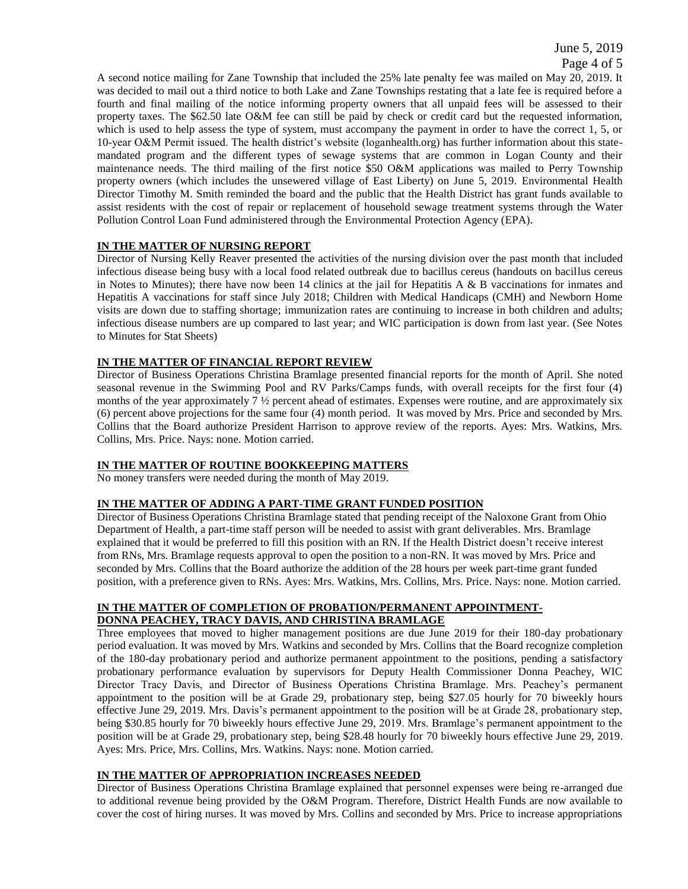June 5, 2019

A second notice mailing for Zane Township that included the 25% late penalty fee was mailed on May 20, 2019. It was decided to mail out a third notice to both Lake and Zane Townships restating that a late fee is required before a fourth and final mailing of the notice informing property owners that all unpaid fees will be assessed to their property taxes. The \$62.50 late O&M fee can still be paid by check or credit card but the requested information, which is used to help assess the type of system, must accompany the payment in order to have the correct 1, 5, or 10-year O&M Permit issued. The health district's website (loganhealth.org) has further information about this statemandated program and the different types of sewage systems that are common in Logan County and their maintenance needs. The third mailing of the first notice \$50 O&M applications was mailed to Perry Township property owners (which includes the unsewered village of East Liberty) on June 5, 2019. Environmental Health Director Timothy M. Smith reminded the board and the public that the Health District has grant funds available to assist residents with the cost of repair or replacement of household sewage treatment systems through the Water Pollution Control Loan Fund administered through the Environmental Protection Agency (EPA).

# **IN THE MATTER OF NURSING REPORT**

Director of Nursing Kelly Reaver presented the activities of the nursing division over the past month that included infectious disease being busy with a local food related outbreak due to bacillus cereus (handouts on bacillus cereus in Notes to Minutes); there have now been 14 clinics at the jail for Hepatitis  $A \& B$  vaccinations for inmates and Hepatitis A vaccinations for staff since July 2018; Children with Medical Handicaps (CMH) and Newborn Home visits are down due to staffing shortage; immunization rates are continuing to increase in both children and adults; infectious disease numbers are up compared to last year; and WIC participation is down from last year. (See Notes to Minutes for Stat Sheets)

# **IN THE MATTER OF FINANCIAL REPORT REVIEW**

Director of Business Operations Christina Bramlage presented financial reports for the month of April. She noted seasonal revenue in the Swimming Pool and RV Parks/Camps funds, with overall receipts for the first four (4) months of the year approximately 7  $\frac{1}{2}$  percent ahead of estimates. Expenses were routine, and are approximately six (6) percent above projections for the same four (4) month period. It was moved by Mrs. Price and seconded by Mrs. Collins that the Board authorize President Harrison to approve review of the reports. Ayes: Mrs. Watkins, Mrs. Collins, Mrs. Price. Nays: none. Motion carried.

# **IN THE MATTER OF ROUTINE BOOKKEEPING MATTERS**

No money transfers were needed during the month of May 2019.

# **IN THE MATTER OF ADDING A PART-TIME GRANT FUNDED POSITION**

Director of Business Operations Christina Bramlage stated that pending receipt of the Naloxone Grant from Ohio Department of Health, a part-time staff person will be needed to assist with grant deliverables. Mrs. Bramlage explained that it would be preferred to fill this position with an RN. If the Health District doesn't receive interest from RNs, Mrs. Bramlage requests approval to open the position to a non-RN. It was moved by Mrs. Price and seconded by Mrs. Collins that the Board authorize the addition of the 28 hours per week part-time grant funded position, with a preference given to RNs. Ayes: Mrs. Watkins, Mrs. Collins, Mrs. Price. Nays: none. Motion carried.

## **IN THE MATTER OF COMPLETION OF PROBATION/PERMANENT APPOINTMENT-DONNA PEACHEY, TRACY DAVIS, AND CHRISTINA BRAMLAGE**

Three employees that moved to higher management positions are due June 2019 for their 180-day probationary period evaluation. It was moved by Mrs. Watkins and seconded by Mrs. Collins that the Board recognize completion of the 180-day probationary period and authorize permanent appointment to the positions, pending a satisfactory probationary performance evaluation by supervisors for Deputy Health Commissioner Donna Peachey, WIC Director Tracy Davis, and Director of Business Operations Christina Bramlage. Mrs. Peachey's permanent appointment to the position will be at Grade 29, probationary step, being \$27.05 hourly for 70 biweekly hours effective June 29, 2019. Mrs. Davis's permanent appointment to the position will be at Grade 28, probationary step, being \$30.85 hourly for 70 biweekly hours effective June 29, 2019. Mrs. Bramlage's permanent appointment to the position will be at Grade 29, probationary step, being \$28.48 hourly for 70 biweekly hours effective June 29, 2019. Ayes: Mrs. Price, Mrs. Collins, Mrs. Watkins. Nays: none. Motion carried.

# **IN THE MATTER OF APPROPRIATION INCREASES NEEDED**

Director of Business Operations Christina Bramlage explained that personnel expenses were being re-arranged due to additional revenue being provided by the O&M Program. Therefore, District Health Funds are now available to cover the cost of hiring nurses. It was moved by Mrs. Collins and seconded by Mrs. Price to increase appropriations